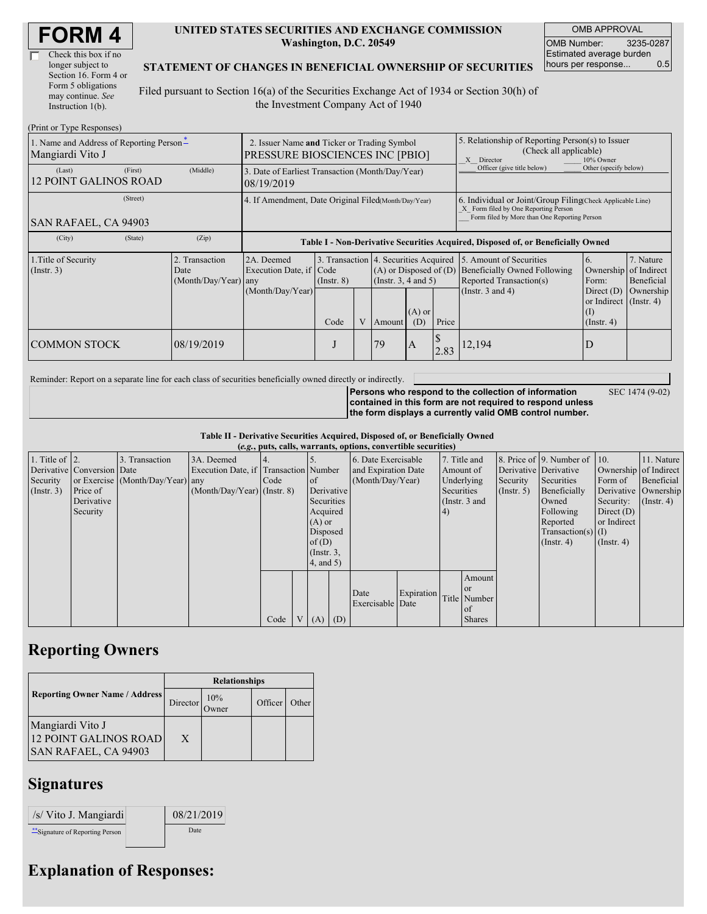| Check this box if no  |  |
|-----------------------|--|
| longer subject to     |  |
| Section 16. Form 4 or |  |
| Form 5 obligations    |  |
| may continue. See     |  |
| Instruction 1(b).     |  |

#### **UNITED STATES SECURITIES AND EXCHANGE COMMISSION Washington, D.C. 20549**

OMB APPROVAL OMB Number: 3235-0287 Estimated average burden hours per response... 0.5

#### **STATEMENT OF CHANGES IN BENEFICIAL OWNERSHIP OF SECURITIES**

Filed pursuant to Section 16(a) of the Securities Exchange Act of 1934 or Section 30(h) of the Investment Company Act of 1940

| (Print or Type Responses)                                    |                                                                                       |                                                |                                                                                  |                 |  |                                                                                             |                                                                                                       |       |                                                                                                                                                    |                                                      |                                      |
|--------------------------------------------------------------|---------------------------------------------------------------------------------------|------------------------------------------------|----------------------------------------------------------------------------------|-----------------|--|---------------------------------------------------------------------------------------------|-------------------------------------------------------------------------------------------------------|-------|----------------------------------------------------------------------------------------------------------------------------------------------------|------------------------------------------------------|--------------------------------------|
| 1. Name and Address of Reporting Person*<br>Mangiardi Vito J | 2. Issuer Name and Ticker or Trading Symbol<br><b>PRESSURE BIOSCIENCES INC [PBIO]</b> |                                                |                                                                                  |                 |  |                                                                                             | 5. Relationship of Reporting Person(s) to Issuer<br>(Check all applicable)<br>X Director<br>10% Owner |       |                                                                                                                                                    |                                                      |                                      |
| (Last)<br><b>12 POINT GALINOS ROAD</b>                       | (First)                                                                               | (Middle)                                       | 3. Date of Earliest Transaction (Month/Day/Year)<br>08/19/2019                   |                 |  |                                                                                             |                                                                                                       |       | Officer (give title below)                                                                                                                         | Other (specify below)                                |                                      |
| (Street)<br><b>SAN RAFAEL, CA 94903</b>                      |                                                                                       |                                                | 4. If Amendment, Date Original Filed Month/Day/Year)                             |                 |  |                                                                                             |                                                                                                       |       | 6. Individual or Joint/Group Filing Check Applicable Line)<br>X Form filed by One Reporting Person<br>Form filed by More than One Reporting Person |                                                      |                                      |
| (City)                                                       | (State)                                                                               | (Zip)                                          | Table I - Non-Derivative Securities Acquired, Disposed of, or Beneficially Owned |                 |  |                                                                                             |                                                                                                       |       |                                                                                                                                                    |                                                      |                                      |
| 1. Title of Security<br>$($ Instr. 3 $)$                     |                                                                                       | 2. Transaction<br>Date<br>(Month/Day/Year) any | 2A. Deemed<br>Execution Date, if Code<br>(Month/Day/Year)                        | $($ Instr. $8)$ |  | 3. Transaction 4. Securities Acquired<br>$(A)$ or Disposed of $(D)$<br>(Insert. 3, 4 and 5) |                                                                                                       |       | 5. Amount of Securities<br><b>Beneficially Owned Following</b><br>Reported Transaction(s)<br>(Instr. $3$ and $4$ )                                 | 6.<br>Ownership of Indirect<br>Form:<br>Direct $(D)$ | 7. Nature<br>Beneficial<br>Ownership |
|                                                              |                                                                                       |                                                |                                                                                  | Code            |  | Amount                                                                                      | $(A)$ or<br>(D)                                                                                       | Price |                                                                                                                                                    | or Indirect (Instr. 4)<br>(I)<br>$($ Instr. 4 $)$    |                                      |
| <b>COMMON STOCK</b>                                          |                                                                                       | 08/19/2019                                     |                                                                                  | J               |  | 79                                                                                          | A                                                                                                     | 2.83  | 12,194                                                                                                                                             | D                                                    |                                      |

Reminder: Report on a separate line for each class of securities beneficially owned directly or indirectly.

SEC 1474 (9-02)

**Persons who respond to the collection of information contained in this form are not required to respond unless the form displays a currently valid OMB control number.**

**Table II - Derivative Securities Acquired, Disposed of, or Beneficially Owned**

| (e.g., puts, calls, warrants, options, convertible securities) |  |
|----------------------------------------------------------------|--|

| 1. Title of $\vert$ 2.<br>Security<br>(Insert. 3) | Derivative Conversion Date<br>Price of<br>Derivative<br>Security | 3. Transaction<br>or Exercise (Month/Day/Year) any | 3A. Deemed<br>Execution Date, if Transaction Number<br>$(Month/Day/Year)$ (Instr. 8) | 4.<br>Code | $\circ$ f<br>Derivative<br>Securities<br>Acquired<br>$(A)$ or<br>Disposed<br>of $(D)$<br>$($ Instr. $3,$<br>$4$ , and 5) | 6. Date Exercisable<br>and Expiration Date<br>(Month/Day/Year) |            | 7. Title and<br>Amount of<br>Underlying<br>Securities<br>(Instr. 3 and<br>(4) |                                                        | Security<br>(Insert, 5) | 8. Price of $\vert$ 9. Number of $\vert$ 10.<br>Derivative Derivative<br>Securities<br>Beneficially<br>Owned<br>Following<br>Reported<br>$Transaction(s)$ (I)<br>$($ Instr. 4 $)$ | Ownership of Indirect<br>Form of<br>Security:<br>Direct $(D)$<br>or Indirect<br>$($ Instr. 4 $)$ | 11. Nature<br>Beneficial<br>Derivative Ownership<br>$($ Instr. 4) |
|---------------------------------------------------|------------------------------------------------------------------|----------------------------------------------------|--------------------------------------------------------------------------------------|------------|--------------------------------------------------------------------------------------------------------------------------|----------------------------------------------------------------|------------|-------------------------------------------------------------------------------|--------------------------------------------------------|-------------------------|-----------------------------------------------------------------------------------------------------------------------------------------------------------------------------------|--------------------------------------------------------------------------------------------------|-------------------------------------------------------------------|
|                                                   |                                                                  |                                                    |                                                                                      | Code       | V   (A)   (D)                                                                                                            | Date<br>Exercisable Date                                       | Expiration |                                                                               | Amount<br>or or<br>Title Number<br>of<br><b>Shares</b> |                         |                                                                                                                                                                                   |                                                                                                  |                                                                   |

# **Reporting Owners**

|                                                                                 | <b>Relationships</b> |     |         |       |  |  |  |  |
|---------------------------------------------------------------------------------|----------------------|-----|---------|-------|--|--|--|--|
| <b>Reporting Owner Name / Address</b>                                           | Director             | 10% | Officer | Other |  |  |  |  |
| Mangiardi Vito J<br><b>12 POINT GALINOS ROAD</b><br><b>SAN RAFAEL, CA 94903</b> | X                    |     |         |       |  |  |  |  |

# **Signatures**

| /s/ Vito J. Mangiardi            | 08/21/2019 |
|----------------------------------|------------|
| ** Signature of Reporting Person | Date       |

## **Explanation of Responses:**